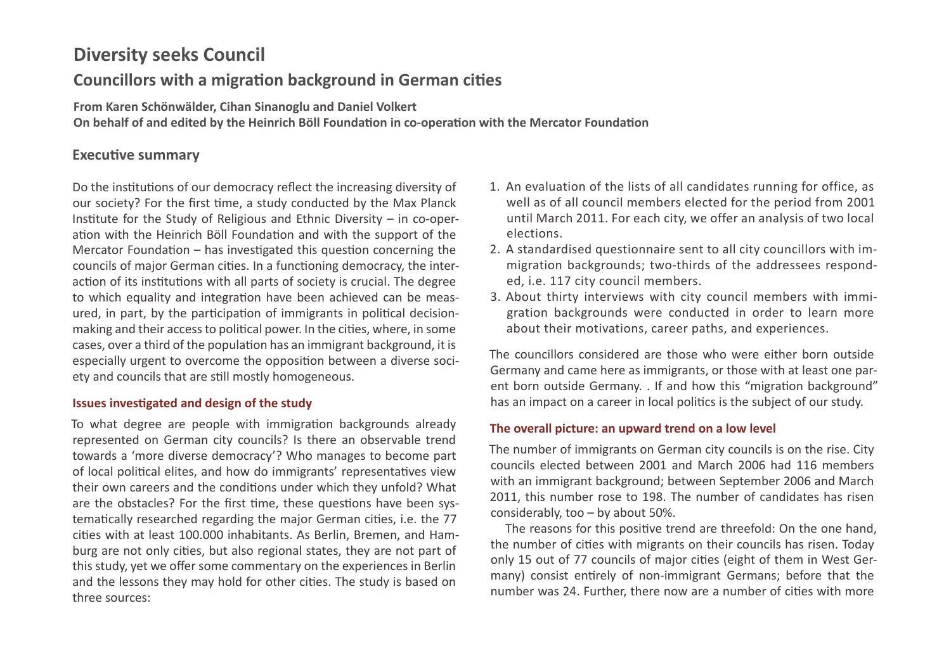# **Diversity seeks Council**

# **Councillors with a migration background in German cities**

**From Karen Schönwälder, Cihan Sinanoglu and Daniel Volkert**

**On behalf of and edited by the Heinrich Böll Foundation in co-operation with the Mercator Foundation**

# **Executive summary**

Do the institutions of our democracy reflect the increasing diversity of our society? For the first time, a study conducted by the Max Planck Institute for the Study of Religious and Ethnic Diversity – in co-operation with the Heinrich Böll Foundation and with the support of the Mercator Foundation – has investigated this question concerning the councils of major German cities. In a functioning democracy, the interaction of its institutions with all parts of society is crucial. The degree to which equality and integration have been achieved can be measured, in part, by the participation of immigrants in political decisionmaking and their access to political power. In the cities, where, in some cases, over a third of the population has an immigrant background, it is especially urgent to overcome the opposition between a diverse society and councils that are still mostly homogeneous.

### **Issues investigated and design of the study**

To what degree are people with immigration backgrounds already represented on German city councils? Is there an observable trend towards a 'more diverse democracy'? Who manages to become part of local political elites, and how do immigrants' representatives view their own careers and the conditions under which they unfold? What are the obstacles? For the first time, these questions have been systematically researched regarding the major German cities, i.e. the 77 cities with at least 100.000 inhabitants. As Berlin, Bremen, and Hamburg are not only cities, but also regional states, they are not part of this study, yet we offer some commentary on the experiences in Berlin and the lessons they may hold for other cities. The study is based on three sources:

- 1. An evaluation of the lists of all candidates running for office, as well as of all council members elected for the period from 2001 until March 2011. For each city, we offer an analysis of two local elections.
- 2. A standardised questionnaire sent to all city councillors with immigration backgrounds; two-thirds of the addressees responded, i.e. 117 city council members.
- 3. About thirty interviews with city council members with immigration backgrounds were conducted in order to learn more about their motivations, career paths, and experiences.

The councillors considered are those who were either born outside Germany and came here as immigrants, or those with at least one parent born outside Germany. . If and how this "migration background" has an impact on a career in local politics is the subject of our study.

### **The overall picture: an upward trend on a low level**

The number of immigrants on German city councils is on the rise. City councils elected between 2001 and March 2006 had 116 members with an immigrant background; between September 2006 and March 2011, this number rose to 198. The number of candidates has risen considerably, too – by about 50%.

The reasons for this positive trend are threefold: On the one hand, the number of cities with migrants on their councils has risen. Today only 15 out of 77 councils of major cities (eight of them in West Germany) consist entirely of non-immigrant Germans; before that the number was 24. Further, there now are a number of cities with more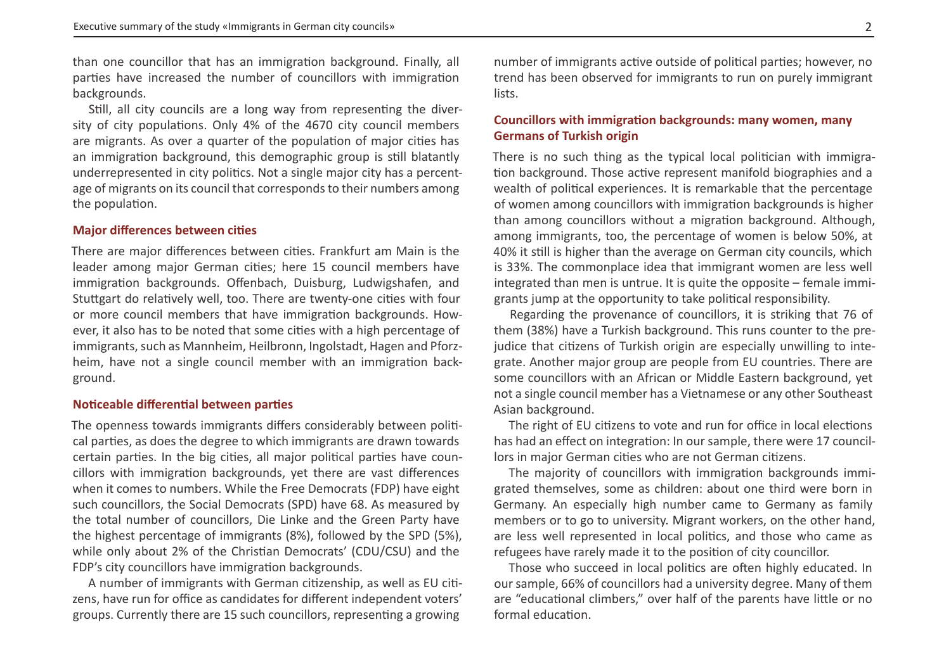than one councillor that has an immigration background. Finally, all parties have increased the number of councillors with immigration backgrounds.

Still, all city councils are a long way from representing the diversity of city populations. Only 4% of the 4670 city council members are migrants. As over a quarter of the population of major cities has an immigration background, this demographic group is still blatantly underrepresented in city politics. Not a single major city has a percentage of migrants on its council that corresponds to their numbers among the population.

#### **Major differences between cities**

There are major differences between cities. Frankfurt am Main is the leader among major German cities; here 15 council members have immigration backgrounds. Offenbach, Duisburg, Ludwigshafen, and Stuttgart do relatively well, too. There are twenty-one cities with four or more council members that have immigration backgrounds. However, it also has to be noted that some cities with a high percentage of immigrants, such as Mannheim, Heilbronn, Ingolstadt, Hagen and Pforzheim, have not a single council member with an immigration background.

#### **Noticeable differential between parties**

The openness towards immigrants differs considerably between political parties, as does the degree to which immigrants are drawn towards certain parties. In the big cities, all major political parties have councillors with immigration backgrounds, yet there are vast differences when it comes to numbers. While the Free Democrats (FDP) have eight such councillors, the Social Democrats (SPD) have 68. As measured by the total number of councillors, Die Linke and the Green Party have the highest percentage of immigrants (8%), followed by the SPD (5%), while only about 2% of the Christian Democrats' (CDU/CSU) and the FDP's city councillors have immigration backgrounds.

A number of immigrants with German citizenship, as well as EU citizens, have run for office as candidates for different independent voters' groups. Currently there are 15 such councillors, representing a growing

number of immigrants active outside of political parties; however, no trend has been observed for immigrants to run on purely immigrant lists.

### **Councillors with immigration backgrounds: many women, many Germans of Turkish origin**

There is no such thing as the typical local politician with immigration background. Those active represent manifold biographies and a wealth of political experiences. It is remarkable that the percentage of women among councillors with immigration backgrounds is higher than among councillors without a migration background. Although, among immigrants, too, the percentage of women is below 50%, at 40% it still is higher than the average on German city councils, which is 33%. The commonplace idea that immigrant women are less well integrated than men is untrue. It is quite the opposite – female immigrants jump at the opportunity to take political responsibility.

Regarding the provenance of councillors, it is striking that 76 of them (38%) have a Turkish background. This runs counter to the prejudice that citizens of Turkish origin are especially unwilling to integrate. Another major group are people from EU countries. There are some councillors with an African or Middle Eastern background, yet not a single council member has a Vietnamese or any other Southeast Asian background.

The right of EU citizens to vote and run for office in local elections has had an effect on integration: In our sample, there were 17 councillors in major German cities who are not German citizens.

The majority of councillors with immigration backgrounds immigrated themselves, some as children: about one third were born in Germany. An especially high number came to Germany as family members or to go to university. Migrant workers, on the other hand, are less well represented in local politics, and those who came as refugees have rarely made it to the position of city councillor.

Those who succeed in local politics are often highly educated. In our sample, 66% of councillors had a university degree. Many of them are "educational climbers," over half of the parents have little or no formal education.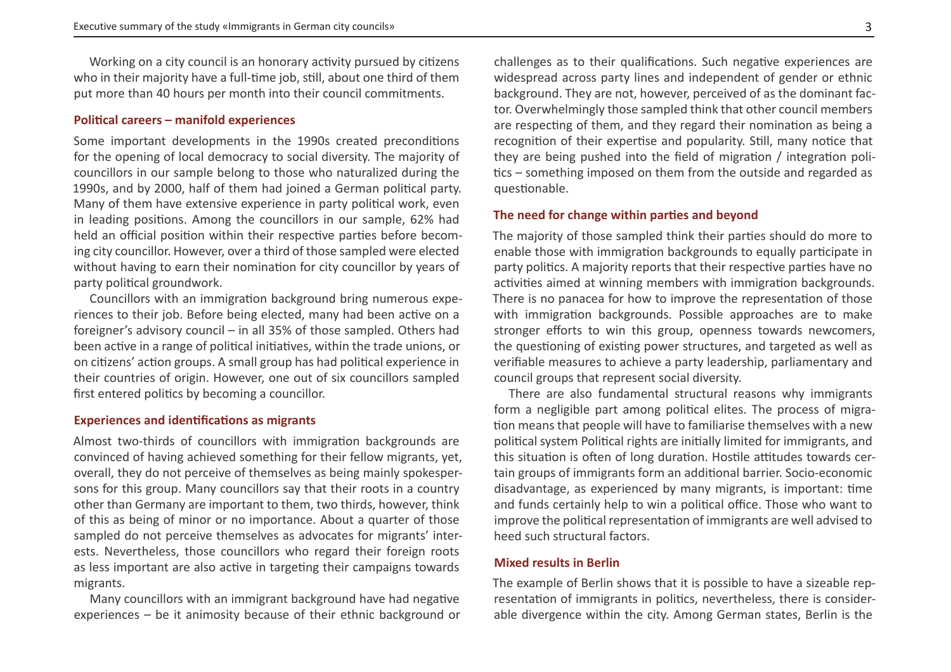Working on a city council is an honorary activity pursued by citizens who in their majority have a full-time job, still, about one third of them put more than 40 hours per month into their council commitments.

#### **Political careers – manifold experiences**

Some important developments in the 1990s created preconditions for the opening of local democracy to social diversity. The majority of councillors in our sample belong to those who naturalized during the 1990s, and by 2000, half of them had joined a German political party. Many of them have extensive experience in party political work, even in leading positions. Among the councillors in our sample, 62% had held an official position within their respective parties before becoming city councillor. However, over a third of those sampled were elected without having to earn their nomination for city councillor by years of party political groundwork.

Councillors with an immigration background bring numerous experiences to their job. Before being elected, many had been active on a foreigner's advisory council – in all 35% of those sampled. Others had been active in a range of political initiatives, within the trade unions, or on citizens' action groups. A small group has had political experience in their countries of origin. However, one out of six councillors sampled first entered politics by becoming a councillor.

#### **Experiences and identifications as migrants**

Almost two-thirds of councillors with immigration backgrounds are convinced of having achieved something for their fellow migrants, yet, overall, they do not perceive of themselves as being mainly spokespersons for this group. Many councillors say that their roots in a country other than Germany are important to them, two thirds, however, think of this as being of minor or no importance. About a quarter of those sampled do not perceive themselves as advocates for migrants' interests. Nevertheless, those councillors who regard their foreign roots as less important are also active in targeting their campaigns towards migrants.

Many councillors with an immigrant background have had negative experiences – be it animosity because of their ethnic background or

challenges as to their qualifications. Such negative experiences are widespread across party lines and independent of gender or ethnic background. They are not, however, perceived of as the dominant factor. Overwhelmingly those sampled think that other council members are respecting of them, and they regard their nomination as being a recognition of their expertise and popularity. Still, many notice that they are being pushed into the field of migration / integration politics – something imposed on them from the outside and regarded as questionable.

#### **The need for change within parties and beyond**

The majority of those sampled think their parties should do more to enable those with immigration backgrounds to equally participate in party politics. A majority reports that their respective parties have no activities aimed at winning members with immigration backgrounds. There is no panacea for how to improve the representation of those with immigration backgrounds. Possible approaches are to make stronger efforts to win this group, openness towards newcomers, the questioning of existing power structures, and targeted as well as verifiable measures to achieve a party leadership, parliamentary and council groups that represent social diversity.

There are also fundamental structural reasons why immigrants form a negligible part among political elites. The process of migration means that people will have to familiarise themselves with a new political system Political rights are initially limited for immigrants, and this situation is often of long duration. Hostile attitudes towards certain groups of immigrants form an additional barrier. Socio-economic disadvantage, as experienced by many migrants, is important: time and funds certainly help to win a political office. Those who want to improve the political representation of immigrants are well advised to heed such structural factors.

#### **Mixed results in Berlin**

The example of Berlin shows that it is possible to have a sizeable representation of immigrants in politics, nevertheless, there is considerable divergence within the city. Among German states, Berlin is the